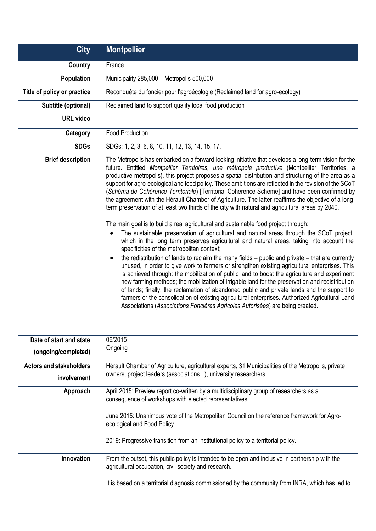| <b>City</b>                                   | <b>Montpellier</b>                                                                                                                                                                                                                                                                                                                                                                                                                                                                                                                                                                                                                                                                                                                                                                                                                                                                                                                                                                                                                                                                                                                                                                                                                                                                                                                                                                                                                                                                                                                                                                                                                                                                                                                                                  |
|-----------------------------------------------|---------------------------------------------------------------------------------------------------------------------------------------------------------------------------------------------------------------------------------------------------------------------------------------------------------------------------------------------------------------------------------------------------------------------------------------------------------------------------------------------------------------------------------------------------------------------------------------------------------------------------------------------------------------------------------------------------------------------------------------------------------------------------------------------------------------------------------------------------------------------------------------------------------------------------------------------------------------------------------------------------------------------------------------------------------------------------------------------------------------------------------------------------------------------------------------------------------------------------------------------------------------------------------------------------------------------------------------------------------------------------------------------------------------------------------------------------------------------------------------------------------------------------------------------------------------------------------------------------------------------------------------------------------------------------------------------------------------------------------------------------------------------|
| <b>Country</b>                                | France                                                                                                                                                                                                                                                                                                                                                                                                                                                                                                                                                                                                                                                                                                                                                                                                                                                                                                                                                                                                                                                                                                                                                                                                                                                                                                                                                                                                                                                                                                                                                                                                                                                                                                                                                              |
| Population                                    | Municipality 285,000 - Metropolis 500,000                                                                                                                                                                                                                                                                                                                                                                                                                                                                                                                                                                                                                                                                                                                                                                                                                                                                                                                                                                                                                                                                                                                                                                                                                                                                                                                                                                                                                                                                                                                                                                                                                                                                                                                           |
| Title of policy or practice                   | Reconquête du foncier pour l'agroécologie (Reclaimed land for agro-ecology)                                                                                                                                                                                                                                                                                                                                                                                                                                                                                                                                                                                                                                                                                                                                                                                                                                                                                                                                                                                                                                                                                                                                                                                                                                                                                                                                                                                                                                                                                                                                                                                                                                                                                         |
| Subtitle (optional)                           | Reclaimed land to support quality local food production                                                                                                                                                                                                                                                                                                                                                                                                                                                                                                                                                                                                                                                                                                                                                                                                                                                                                                                                                                                                                                                                                                                                                                                                                                                                                                                                                                                                                                                                                                                                                                                                                                                                                                             |
| <b>URL</b> video                              |                                                                                                                                                                                                                                                                                                                                                                                                                                                                                                                                                                                                                                                                                                                                                                                                                                                                                                                                                                                                                                                                                                                                                                                                                                                                                                                                                                                                                                                                                                                                                                                                                                                                                                                                                                     |
| Category                                      | <b>Food Production</b>                                                                                                                                                                                                                                                                                                                                                                                                                                                                                                                                                                                                                                                                                                                                                                                                                                                                                                                                                                                                                                                                                                                                                                                                                                                                                                                                                                                                                                                                                                                                                                                                                                                                                                                                              |
| <b>SDGs</b>                                   | SDGs: 1, 2, 3, 6, 8, 10, 11, 12, 13, 14, 15, 17.                                                                                                                                                                                                                                                                                                                                                                                                                                                                                                                                                                                                                                                                                                                                                                                                                                                                                                                                                                                                                                                                                                                                                                                                                                                                                                                                                                                                                                                                                                                                                                                                                                                                                                                    |
| <b>Brief description</b>                      | The Metropolis has embarked on a forward-looking initiative that develops a long-term vision for the<br>future. Entitled Montpellier Territoires, une métropole productive (Montpellier Territories, a<br>productive metropolis), this project proposes a spatial distribution and structuring of the area as a<br>support for agro-ecological and food policy. These ambitions are reflected in the revision of the SCoT<br>(Schéma de Cohérence Territoriale) [Territorial Coherence Scheme] and have been confirmed by<br>the agreement with the Hérault Chamber of Agriculture. The latter reaffirms the objective of a long-<br>term preservation of at least two thirds of the city with natural and agricultural areas by 2040.<br>The main goal is to build a real agricultural and sustainable food project through:<br>The sustainable preservation of agricultural and natural areas through the SCoT project,<br>which in the long term preserves agricultural and natural areas, taking into account the<br>specificities of the metropolitan context;<br>the redistribution of lands to reclaim the many fields $-$ public and private $-$ that are currently<br>unused, in order to give work to farmers or strengthen existing agricultural enterprises. This<br>is achieved through: the mobilization of public land to boost the agriculture and experiment<br>new farming methods; the mobilization of irrigable land for the preservation and redistribution<br>of lands; finally, the reclamation of abandoned public and private lands and the support to<br>farmers or the consolidation of existing agricultural enterprises. Authorized Agricultural Land<br>Associations (Associations Foncières Agricoles Autorisées) are being created. |
| Date of start and state                       | 06/2015                                                                                                                                                                                                                                                                                                                                                                                                                                                                                                                                                                                                                                                                                                                                                                                                                                                                                                                                                                                                                                                                                                                                                                                                                                                                                                                                                                                                                                                                                                                                                                                                                                                                                                                                                             |
| (ongoing/completed)                           | Ongoing                                                                                                                                                                                                                                                                                                                                                                                                                                                                                                                                                                                                                                                                                                                                                                                                                                                                                                                                                                                                                                                                                                                                                                                                                                                                                                                                                                                                                                                                                                                                                                                                                                                                                                                                                             |
| <b>Actors and stakeholders</b><br>involvement | Hérault Chamber of Agriculture, agricultural experts, 31 Municipalities of the Metropolis, private<br>owners, project leaders (associations), university researchers                                                                                                                                                                                                                                                                                                                                                                                                                                                                                                                                                                                                                                                                                                                                                                                                                                                                                                                                                                                                                                                                                                                                                                                                                                                                                                                                                                                                                                                                                                                                                                                                |
| Approach                                      | April 2015: Preview report co-written by a multidisciplinary group of researchers as a<br>consequence of workshops with elected representatives.                                                                                                                                                                                                                                                                                                                                                                                                                                                                                                                                                                                                                                                                                                                                                                                                                                                                                                                                                                                                                                                                                                                                                                                                                                                                                                                                                                                                                                                                                                                                                                                                                    |
|                                               | June 2015: Unanimous vote of the Metropolitan Council on the reference framework for Agro-<br>ecological and Food Policy.<br>2019: Progressive transition from an institutional policy to a territorial policy.                                                                                                                                                                                                                                                                                                                                                                                                                                                                                                                                                                                                                                                                                                                                                                                                                                                                                                                                                                                                                                                                                                                                                                                                                                                                                                                                                                                                                                                                                                                                                     |
| Innovation                                    | From the outset, this public policy is intended to be open and inclusive in partnership with the<br>agricultural occupation, civil society and research.                                                                                                                                                                                                                                                                                                                                                                                                                                                                                                                                                                                                                                                                                                                                                                                                                                                                                                                                                                                                                                                                                                                                                                                                                                                                                                                                                                                                                                                                                                                                                                                                            |
|                                               | It is based on a territorial diagnosis commissioned by the community from INRA, which has led to                                                                                                                                                                                                                                                                                                                                                                                                                                                                                                                                                                                                                                                                                                                                                                                                                                                                                                                                                                                                                                                                                                                                                                                                                                                                                                                                                                                                                                                                                                                                                                                                                                                                    |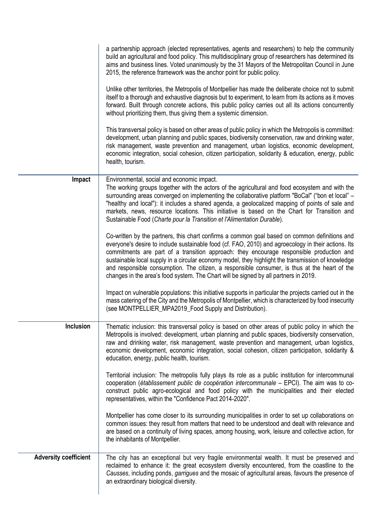|                              | a partnership approach (elected representatives, agents and researchers) to help the community<br>build an agricultural and food policy. This multidisciplinary group of researchers has determined its<br>aims and business lines. Voted unanimously by the 31 Mayors of the Metropolitan Council in June<br>2015, the reference framework was the anchor point for public policy.                                                                                                                                                                                                             |
|------------------------------|-------------------------------------------------------------------------------------------------------------------------------------------------------------------------------------------------------------------------------------------------------------------------------------------------------------------------------------------------------------------------------------------------------------------------------------------------------------------------------------------------------------------------------------------------------------------------------------------------|
|                              | Unlike other territories, the Metropolis of Montpellier has made the deliberate choice not to submit<br>itself to a thorough and exhaustive diagnosis but to experiment, to learn from its actions as it moves<br>forward. Built through concrete actions, this public policy carries out all its actions concurrently<br>without prioritizing them, thus giving them a systemic dimension.                                                                                                                                                                                                     |
|                              | This transversal policy is based on other areas of public policy in which the Metropolis is committed:<br>development, urban planning and public spaces, biodiversity conservation, raw and drinking water,<br>risk management, waste prevention and management, urban logistics, economic development,<br>economic integration, social cohesion, citizen participation, solidarity & education, energy, public<br>health, tourism.                                                                                                                                                             |
| Impact                       | Environmental, social and economic impact.<br>The working groups together with the actors of the agricultural and food ecosystem and with the<br>surrounding areas converged on implementing the collaborative platform "BoCal" ("bon et local" -<br>"healthy and local"): it includes a shared agenda, a geolocalized mapping of points of sale and<br>markets, news, resource locations. This initiative is based on the Chart for Transition and<br>Sustainable Food (Charte pour la Transition et l'Alimentation Durable).                                                                  |
|                              | Co-written by the partners, this chart confirms a common goal based on common definitions and<br>everyone's desire to include sustainable food (cf. FAO, 2010) and agroecology in their actions. Its<br>commitments are part of a transition approach: they encourage responsible production and<br>sustainable local supply in a circular economy model, they highlight the transmission of knowledge<br>and responsible consumption. The citizen, a responsible consumer, is thus at the heart of the<br>changes in the area's food system. The Chart will be signed by all partners in 2019. |
|                              | Impact on vulnerable populations: this initiative supports in particular the projects carried out in the<br>mass catering of the City and the Metropolis of Montpellier, which is characterized by food insecurity<br>(see MONTPELLIER_MPA2019_Food Supply and Distribution).                                                                                                                                                                                                                                                                                                                   |
| Inclusion                    | Thematic inclusion: this transversal policy is based on other areas of public policy in which the<br>Metropolis is involved: development, urban planning and public spaces, biodiversity conservation,<br>raw and drinking water, risk management, waste prevention and management, urban logistics,<br>economic development, economic integration, social cohesion, citizen participation, solidarity &<br>education, energy, public health, tourism.                                                                                                                                          |
|                              | Territorial inclusion: The metropolis fully plays its role as a public institution for intercommunal<br>cooperation (établissement public de coopération intercommunale - EPCI). The aim was to co-<br>construct public agro-ecological and food policy with the municipalities and their elected<br>representatives, within the "Confidence Pact 2014-2020".                                                                                                                                                                                                                                   |
|                              | Montpellier has come closer to its surrounding municipalities in order to set up collaborations on<br>common issues: they result from matters that need to be understood and dealt with relevance and<br>are based on a continuity of living spaces, among housing, work, leisure and collective action, for<br>the inhabitants of Montpellier.                                                                                                                                                                                                                                                 |
| <b>Adversity coefficient</b> | The city has an exceptional but very fragile environmental wealth. It must be preserved and<br>reclaimed to enhance it: the great ecosystem diversity encountered, from the coastline to the<br>Causses, including ponds, garrigues and the mosaic of agricultural areas, favours the presence of<br>an extraordinary biological diversity.                                                                                                                                                                                                                                                     |